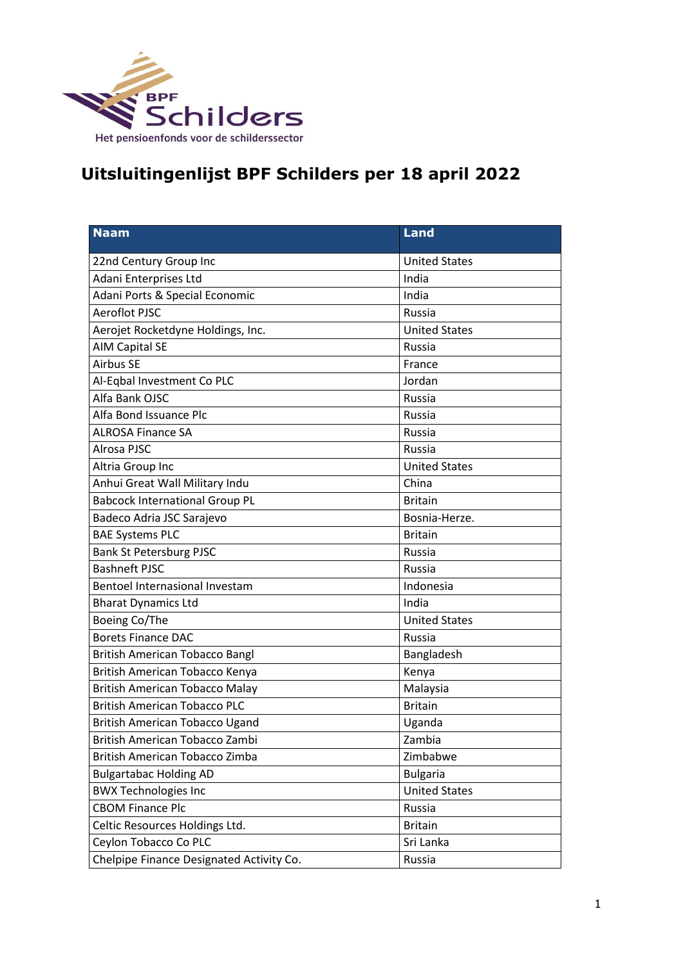

## **Uitsluitingenlijst BPF Schilders per 18 april 2022**

| <b>Naam</b>                              | <b>Land</b>          |
|------------------------------------------|----------------------|
| 22nd Century Group Inc                   | <b>United States</b> |
| Adani Enterprises Ltd                    | India                |
| Adani Ports & Special Economic           | India                |
| <b>Aeroflot PJSC</b>                     | Russia               |
| Aerojet Rocketdyne Holdings, Inc.        | <b>United States</b> |
| AIM Capital SE                           | Russia               |
| <b>Airbus SE</b>                         | France               |
| Al-Eqbal Investment Co PLC               | Jordan               |
| Alfa Bank OJSC                           | Russia               |
| Alfa Bond Issuance Plc                   | Russia               |
| <b>ALROSA Finance SA</b>                 | Russia               |
| Alrosa PJSC                              | Russia               |
| Altria Group Inc                         | <b>United States</b> |
| Anhui Great Wall Military Indu           | China                |
| <b>Babcock International Group PL</b>    | <b>Britain</b>       |
| Badeco Adria JSC Sarajevo                | Bosnia-Herze.        |
| <b>BAE Systems PLC</b>                   | <b>Britain</b>       |
| <b>Bank St Petersburg PJSC</b>           | Russia               |
| <b>Bashneft PJSC</b>                     | Russia               |
| Bentoel Internasional Investam           | Indonesia            |
| <b>Bharat Dynamics Ltd</b>               | India                |
| Boeing Co/The                            | <b>United States</b> |
| <b>Borets Finance DAC</b>                | Russia               |
| <b>British American Tobacco Bangl</b>    | Bangladesh           |
| British American Tobacco Kenya           | Kenya                |
| <b>British American Tobacco Malay</b>    | Malaysia             |
| <b>British American Tobacco PLC</b>      | <b>Britain</b>       |
| British American Tobacco Ugand           | Uganda               |
| British American Tobacco Zambi           | Zambia               |
| British American Tobacco Zimba           | Zimbabwe             |
| <b>Bulgartabac Holding AD</b>            | <b>Bulgaria</b>      |
| <b>BWX Technologies Inc</b>              | <b>United States</b> |
| <b>CBOM Finance Plc</b>                  | Russia               |
| Celtic Resources Holdings Ltd.           | <b>Britain</b>       |
| Ceylon Tobacco Co PLC                    | Sri Lanka            |
| Chelpipe Finance Designated Activity Co. | Russia               |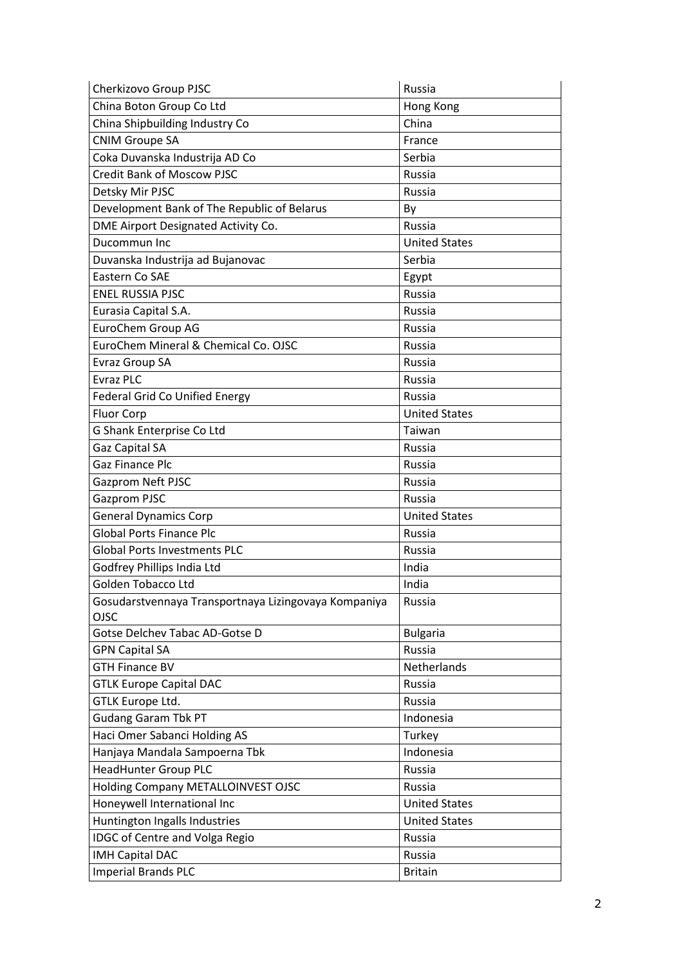| Cherkizovo Group PJSC                                | Russia               |
|------------------------------------------------------|----------------------|
| China Boton Group Co Ltd                             | Hong Kong            |
| China Shipbuilding Industry Co                       | China                |
| <b>CNIM Groupe SA</b>                                | France               |
| Coka Duvanska Industrija AD Co                       | Serbia               |
| <b>Credit Bank of Moscow PJSC</b>                    | Russia               |
| Detsky Mir PJSC                                      | Russia               |
| Development Bank of The Republic of Belarus          | By                   |
| DME Airport Designated Activity Co.                  | Russia               |
| Ducommun Inc                                         | <b>United States</b> |
| Duvanska Industrija ad Bujanovac                     | Serbia               |
| Eastern Co SAE                                       | Egypt                |
| <b>ENEL RUSSIA PJSC</b>                              | Russia               |
| Eurasia Capital S.A.                                 | Russia               |
| EuroChem Group AG                                    | <b>Russia</b>        |
| EuroChem Mineral & Chemical Co. OJSC                 | Russia               |
| <b>Evraz Group SA</b>                                | Russia               |
| <b>Evraz PLC</b>                                     | Russia               |
| <b>Federal Grid Co Unified Energy</b>                | Russia               |
| <b>Fluor Corp</b>                                    | <b>United States</b> |
| G Shank Enterprise Co Ltd                            | Taiwan               |
| Gaz Capital SA                                       | Russia               |
| Gaz Finance Plc                                      | Russia               |
| <b>Gazprom Neft PJSC</b>                             | Russia               |
| Gazprom PJSC                                         | Russia               |
| <b>General Dynamics Corp</b>                         | <b>United States</b> |
| <b>Global Ports Finance Plc</b>                      | Russia               |
| <b>Global Ports Investments PLC</b>                  | Russia               |
| Godfrey Phillips India Ltd                           | India                |
| Golden Tobacco Ltd                                   | India                |
| Gosudarstvennaya Transportnaya Lizingovaya Kompaniya | Russia               |
| <b>OJSC</b>                                          |                      |
| Gotse Delchev Tabac AD-Gotse D                       | <b>Bulgaria</b>      |
| <b>GPN Capital SA</b>                                | Russia               |
| <b>GTH Finance BV</b>                                | Netherlands          |
| <b>GTLK Europe Capital DAC</b>                       | Russia               |
| <b>GTLK Europe Ltd.</b>                              | <b>Russia</b>        |
| <b>Gudang Garam Tbk PT</b>                           | Indonesia            |
| Haci Omer Sabanci Holding AS                         | Turkey               |
| Hanjaya Mandala Sampoerna Tbk                        | Indonesia            |
| <b>HeadHunter Group PLC</b>                          | <b>Russia</b>        |
| Holding Company METALLOINVEST OJSC                   | Russia               |
| Honeywell International Inc                          | <b>United States</b> |
| Huntington Ingalls Industries                        | <b>United States</b> |
| <b>IDGC of Centre and Volga Regio</b>                | Russia               |
| <b>IMH Capital DAC</b>                               | Russia               |
| <b>Imperial Brands PLC</b>                           | <b>Britain</b>       |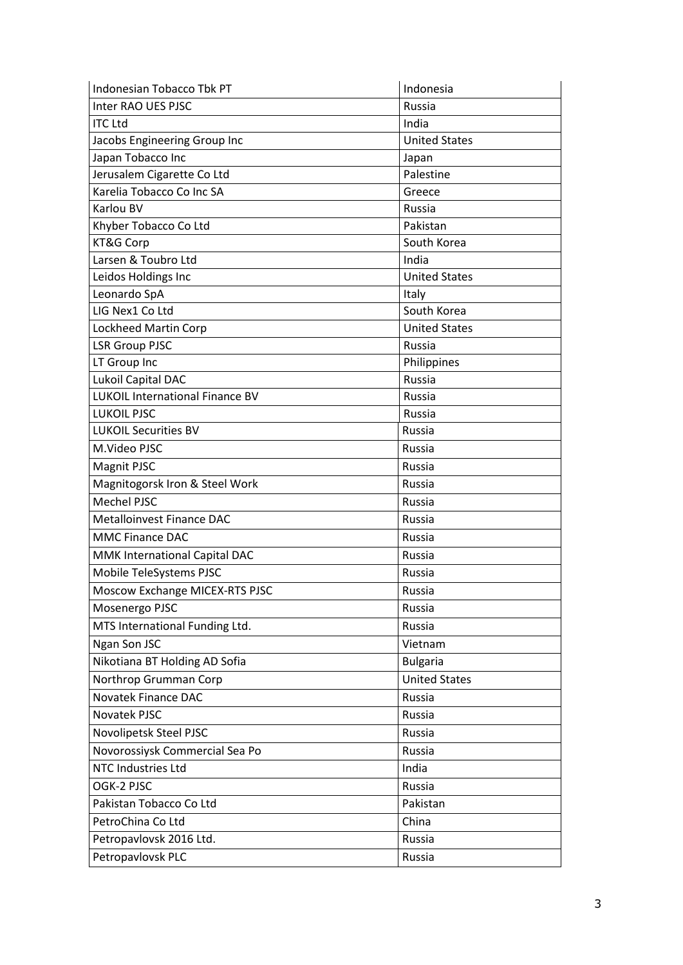| Indonesian Tobacco Tbk PT              | Indonesia            |
|----------------------------------------|----------------------|
| Inter RAO UES PJSC                     | Russia               |
| <b>ITC Ltd</b>                         | India                |
| Jacobs Engineering Group Inc           | <b>United States</b> |
| Japan Tobacco Inc                      | Japan                |
| Jerusalem Cigarette Co Ltd             | Palestine            |
| Karelia Tobacco Co Inc SA              | Greece               |
| Karlou BV                              | Russia               |
| Khyber Tobacco Co Ltd                  | Pakistan             |
| KT&G Corp                              | South Korea          |
| Larsen & Toubro Ltd                    | India                |
| Leidos Holdings Inc                    | <b>United States</b> |
| Leonardo SpA                           | Italy                |
| LIG Nex1 Co Ltd                        | South Korea          |
| Lockheed Martin Corp                   | <b>United States</b> |
| <b>LSR Group PJSC</b>                  | Russia               |
| LT Group Inc                           | Philippines          |
| Lukoil Capital DAC                     | <b>Russia</b>        |
| <b>LUKOIL International Finance BV</b> | <b>Russia</b>        |
| <b>LUKOIL PJSC</b>                     | Russia               |
| <b>LUKOIL Securities BV</b>            | <b>Russia</b>        |
| M.Video PJSC                           | Russia               |
| Magnit PJSC                            | Russia               |
| Magnitogorsk Iron & Steel Work         | Russia               |
| Mechel PJSC                            | Russia               |
| <b>Metalloinvest Finance DAC</b>       | Russia               |
| <b>MMC Finance DAC</b>                 | Russia               |
| MMK International Capital DAC          | Russia               |
| Mobile TeleSystems PJSC                | Russia               |
| Moscow Exchange MICEX-RTS PJSC         | Russia               |
| Mosenergo PJSC                         | Russia               |
| MTS International Funding Ltd.         | Russia               |
| Ngan Son JSC                           | Vietnam              |
| Nikotiana BT Holding AD Sofia          | <b>Bulgaria</b>      |
| Northrop Grumman Corp                  | <b>United States</b> |
| Novatek Finance DAC                    | Russia               |
| Novatek PJSC                           | Russia               |
| Novolipetsk Steel PJSC                 | Russia               |
| Novorossiysk Commercial Sea Po         | Russia               |
| NTC Industries Ltd                     | India                |
| OGK-2 PJSC                             | Russia               |
| Pakistan Tobacco Co Ltd                | Pakistan             |
| PetroChina Co Ltd                      | China                |
| Petropavlovsk 2016 Ltd.                | Russia               |
|                                        |                      |
| Petropavlovsk PLC                      | Russia               |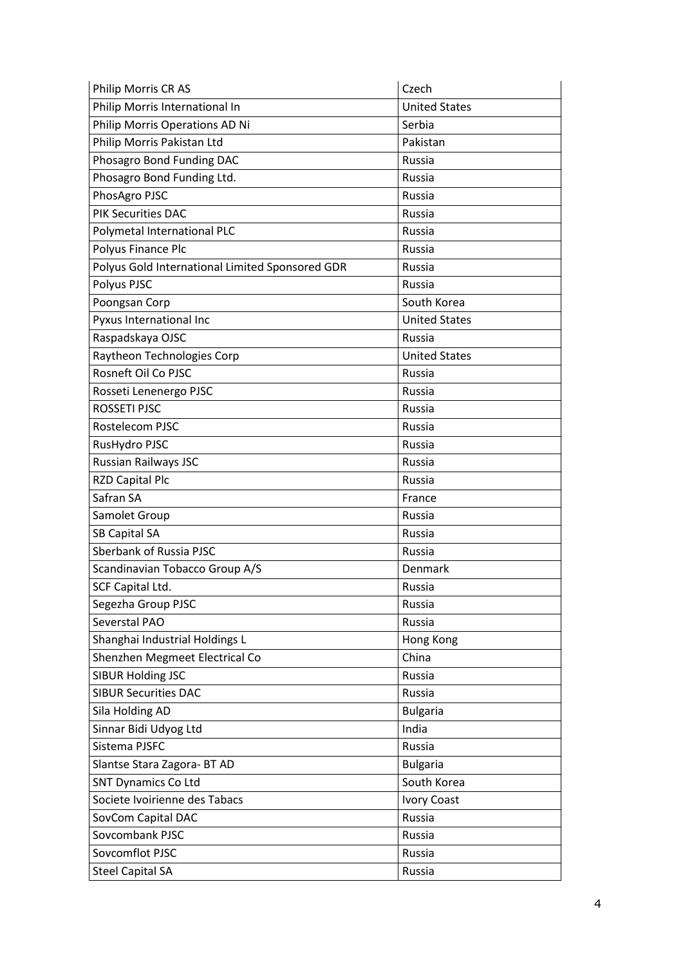| Philip Morris CR AS                             | Czech                |
|-------------------------------------------------|----------------------|
| Philip Morris International In                  | <b>United States</b> |
| Philip Morris Operations AD Ni                  | Serbia               |
| Philip Morris Pakistan Ltd                      | Pakistan             |
| Phosagro Bond Funding DAC                       | Russia               |
| Phosagro Bond Funding Ltd.                      | Russia               |
| PhosAgro PJSC                                   | Russia               |
| <b>PIK Securities DAC</b>                       | Russia               |
| Polymetal International PLC                     | Russia               |
| Polyus Finance Plc                              | Russia               |
| Polyus Gold International Limited Sponsored GDR | <b>Russia</b>        |
| Polyus PJSC                                     | Russia               |
| Poongsan Corp                                   | South Korea          |
| Pyxus International Inc                         | <b>United States</b> |
| Raspadskaya OJSC                                | Russia               |
| Raytheon Technologies Corp                      | <b>United States</b> |
| Rosneft Oil Co PJSC                             | <b>Russia</b>        |
| Rosseti Lenenergo PJSC                          | <b>Russia</b>        |
| <b>ROSSETI PJSC</b>                             | Russia               |
| Rostelecom PJSC                                 | Russia               |
| RusHydro PJSC                                   | Russia               |
| <b>Russian Railways JSC</b>                     | Russia               |
| <b>RZD Capital Plc</b>                          | Russia               |
| Safran SA                                       | France               |
| Samolet Group                                   | Russia               |
| <b>SB Capital SA</b>                            | Russia               |
| Sberbank of Russia PJSC                         | Russia               |
| Scandinavian Tobacco Group A/S                  | Denmark              |
| SCF Capital Ltd.                                | <b>Russia</b>        |
| Segezha Group PJSC                              | Russia               |
| Severstal PAO                                   | Russia               |
| Shanghai Industrial Holdings L                  | Hong Kong            |
| Shenzhen Megmeet Electrical Co                  | China                |
| <b>SIBUR Holding JSC</b>                        | Russia               |
| <b>SIBUR Securities DAC</b>                     | Russia               |
| Sila Holding AD                                 | <b>Bulgaria</b>      |
| Sinnar Bidi Udyog Ltd                           | India                |
| Sistema PJSFC                                   | Russia               |
| Slantse Stara Zagora- BT AD                     | <b>Bulgaria</b>      |
| <b>SNT Dynamics Co Ltd</b>                      | South Korea          |
| Societe Ivoirienne des Tabacs                   | <b>Ivory Coast</b>   |
| SovCom Capital DAC                              | Russia               |
| Sovcombank PJSC                                 | Russia               |
| Sovcomflot PJSC                                 | Russia               |
| <b>Steel Capital SA</b>                         | Russia               |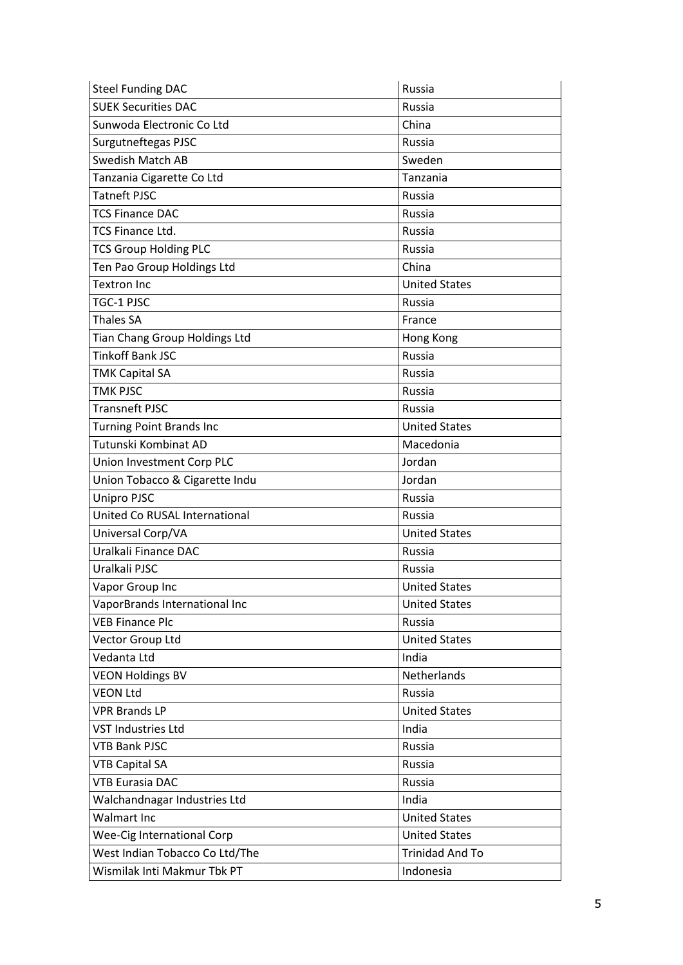| <b>Steel Funding DAC</b>        | Russia                 |
|---------------------------------|------------------------|
| <b>SUEK Securities DAC</b>      | Russia                 |
| Sunwoda Electronic Co Ltd       | China                  |
| Surgutneftegas PJSC             | <b>Russia</b>          |
| <b>Swedish Match AB</b>         | Sweden                 |
| Tanzania Cigarette Co Ltd       | Tanzania               |
| <b>Tatneft PJSC</b>             | Russia                 |
| <b>TCS Finance DAC</b>          | Russia                 |
| <b>TCS Finance Ltd.</b>         | Russia                 |
| <b>TCS Group Holding PLC</b>    | Russia                 |
| Ten Pao Group Holdings Ltd      | China                  |
| <b>Textron Inc</b>              | <b>United States</b>   |
| TGC-1 PJSC                      | Russia                 |
| <b>Thales SA</b>                | France                 |
| Tian Chang Group Holdings Ltd   | Hong Kong              |
| <b>Tinkoff Bank JSC</b>         | Russia                 |
| <b>TMK Capital SA</b>           | Russia                 |
| <b>TMK PJSC</b>                 | Russia                 |
| <b>Transneft PJSC</b>           | Russia                 |
| <b>Turning Point Brands Inc</b> | <b>United States</b>   |
| Tutunski Kombinat AD            | Macedonia              |
| Union Investment Corp PLC       | Jordan                 |
| Union Tobacco & Cigarette Indu  | Jordan                 |
| <b>Unipro PJSC</b>              | Russia                 |
| United Co RUSAL International   | Russia                 |
| Universal Corp/VA               | <b>United States</b>   |
| Uralkali Finance DAC            | Russia                 |
| Uralkali PJSC                   | Russia                 |
| Vapor Group Inc                 | <b>United States</b>   |
| VaporBrands International Inc   | <b>United States</b>   |
| <b>VEB Finance Plc</b>          | Russia                 |
| Vector Group Ltd                | <b>United States</b>   |
| Vedanta Ltd                     | India                  |
| <b>VEON Holdings BV</b>         | Netherlands            |
| <b>VEON Ltd</b>                 | Russia                 |
| <b>VPR Brands LP</b>            | <b>United States</b>   |
| <b>VST Industries Ltd</b>       | India                  |
| <b>VTB Bank PJSC</b>            | Russia                 |
| <b>VTB Capital SA</b>           | Russia                 |
| <b>VTB Eurasia DAC</b>          | Russia                 |
| Walchandnagar Industries Ltd    | India                  |
| <b>Walmart Inc</b>              | <b>United States</b>   |
| Wee-Cig International Corp      | <b>United States</b>   |
| West Indian Tobacco Co Ltd/The  | <b>Trinidad And To</b> |
| Wismilak Inti Makmur Tbk PT     | Indonesia              |